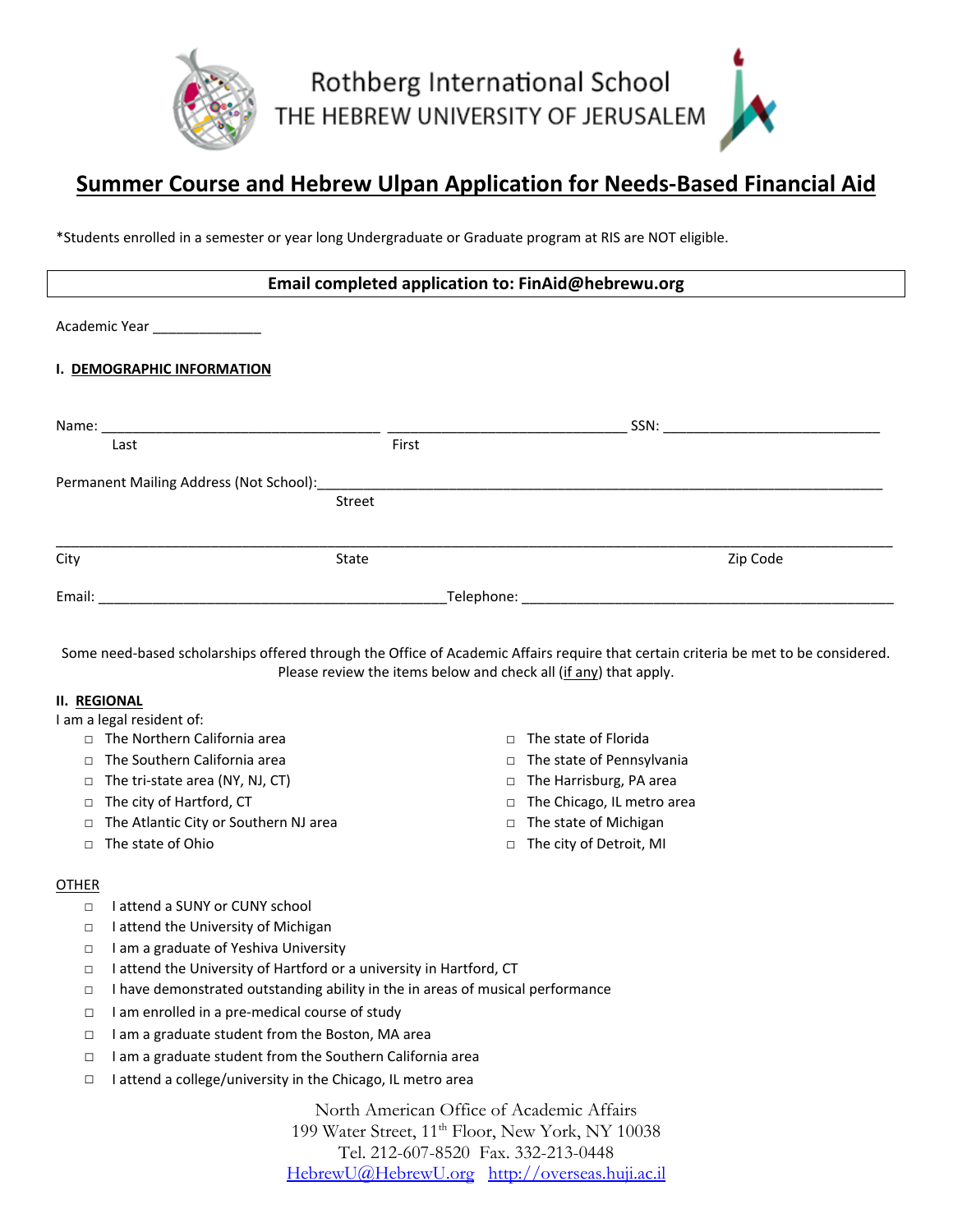

# **Summer Course and Hebrew Ulpan Application for Needs-Based Financial Aid**

\*Students enrolled in a semester or year long Undergraduate or Graduate program at RIS are NOT eligible.

## **Email completed application to: FinAid@hebrewu.org**

| Academic Year _______________                                                                                                                                                                                                  |        |                                                                                                                |          |
|--------------------------------------------------------------------------------------------------------------------------------------------------------------------------------------------------------------------------------|--------|----------------------------------------------------------------------------------------------------------------|----------|
| I. DEMOGRAPHIC INFORMATION                                                                                                                                                                                                     |        |                                                                                                                |          |
|                                                                                                                                                                                                                                |        |                                                                                                                |          |
| Last                                                                                                                                                                                                                           |        | First                                                                                                          |          |
| Permanent Mailing Address (Not School): Notice and American control of the Control of the Control of the Control of the Control of the Control of the Control of the Control of the Control of the Control of the Control of t |        |                                                                                                                |          |
|                                                                                                                                                                                                                                | Street |                                                                                                                |          |
|                                                                                                                                                                                                                                |        |                                                                                                                |          |
| City                                                                                                                                                                                                                           | State  |                                                                                                                | Zip Code |
| Email:                                                                                                                                                                                                                         |        | Telephone: The contract of the contract of the contract of the contract of the contract of the contract of the |          |

Some need-based scholarships offered through the Office of Academic Affairs require that certain criteria be met to be considered. Please review the items below and check all (if any) that apply.

### **II. REGIONAL**

I am a legal resident of:

- □ The Northern California area
- □ The Southern California area
- □ The tri-state area (NY, NJ, CT)
- □ The city of Hartford, CT
- □ The Atlantic City or Southern NJ area
- $\Box$  The state of Ohio
- □ The state of Florida
- □ The state of Pennsylvania
- □ The Harrisburg, PA area
- □ The Chicago, IL metro area
- □ The state of Michigan
- □ The city of Detroit, MI

#### OTHER

- □ I attend a SUNY or CUNY school
- □ I attend the University of Michigan
- □ I am a graduate of Yeshiva University
- □ I attend the University of Hartford or a university in Hartford, CT
- □ I have demonstrated outstanding ability in the in areas of musical performance
- $\Box$  I am enrolled in a pre-medical course of study
- □ I am a graduate student from the Boston, MA area
- □ I am a graduate student from the Southern California area
- □ I attend a college/university in the Chicago, IL metro area

North American Office of Academic Affairs 199 Water Street, 11<sup>th</sup> Floor, New York, NY 10038 Tel. 212-607-8520 Fax. 332-213-0448 [HebrewU@HebrewU.org](mailto:HebrewU@HebrewU.org) [http://overseas.huji.ac.il](http://overseas.huji.ac.il/)